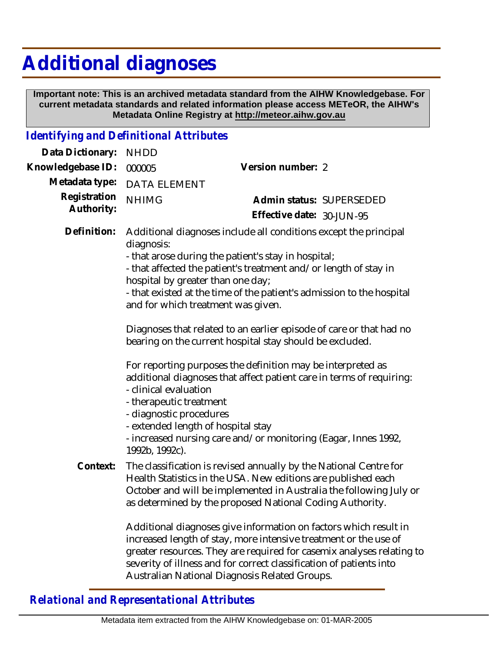## **Additional diagnoses**

 **Important note: This is an archived metadata standard from the AIHW Knowledgebase. For current metadata standards and related information please access METeOR, the AIHW's Metadata Online Registry at http://meteor.aihw.gov.au**

## *Identifying and Definitional Attributes*

| Data Dictionary:           | <b>NHDD</b>                                                                                                                                                                                                                                                                                                                                                                                                                                                                                                                                                                                                                                                                                                                                                                                                                    |                                                                                                                                                                                                                                                                                      |
|----------------------------|--------------------------------------------------------------------------------------------------------------------------------------------------------------------------------------------------------------------------------------------------------------------------------------------------------------------------------------------------------------------------------------------------------------------------------------------------------------------------------------------------------------------------------------------------------------------------------------------------------------------------------------------------------------------------------------------------------------------------------------------------------------------------------------------------------------------------------|--------------------------------------------------------------------------------------------------------------------------------------------------------------------------------------------------------------------------------------------------------------------------------------|
| Knowledgebase ID:          | 000005                                                                                                                                                                                                                                                                                                                                                                                                                                                                                                                                                                                                                                                                                                                                                                                                                         | Version number: 2                                                                                                                                                                                                                                                                    |
| Metadata type:             | <b>DATA ELEMENT</b>                                                                                                                                                                                                                                                                                                                                                                                                                                                                                                                                                                                                                                                                                                                                                                                                            |                                                                                                                                                                                                                                                                                      |
| Registration<br>Authority: | <b>NHIMG</b>                                                                                                                                                                                                                                                                                                                                                                                                                                                                                                                                                                                                                                                                                                                                                                                                                   | Admin status: SUPERSEDED<br>Effective date: 30-JUN-95                                                                                                                                                                                                                                |
| Definition:                | Additional diagnoses include all conditions except the principal<br>diagnosis:<br>- that arose during the patient's stay in hospital;<br>- that affected the patient's treatment and/or length of stay in<br>hospital by greater than one day;<br>- that existed at the time of the patient's admission to the hospital<br>and for which treatment was given.<br>Diagnoses that related to an earlier episode of care or that had no<br>bearing on the current hospital stay should be excluded.<br>For reporting purposes the definition may be interpreted as<br>additional diagnoses that affect patient care in terms of requiring:<br>- clinical evaluation<br>- therapeutic treatment<br>- diagnostic procedures<br>- extended length of hospital stay<br>- increased nursing care and/or monitoring (Eagar, Innes 1992, |                                                                                                                                                                                                                                                                                      |
|                            | 1992b, 1992c).                                                                                                                                                                                                                                                                                                                                                                                                                                                                                                                                                                                                                                                                                                                                                                                                                 |                                                                                                                                                                                                                                                                                      |
| Context:                   |                                                                                                                                                                                                                                                                                                                                                                                                                                                                                                                                                                                                                                                                                                                                                                                                                                | The classification is revised annually by the National Centre for<br>Health Statistics in the USA. New editions are published each<br>October and will be implemented in Australia the following July or<br>as determined by the proposed National Coding Authority.                 |
|                            |                                                                                                                                                                                                                                                                                                                                                                                                                                                                                                                                                                                                                                                                                                                                                                                                                                | Additional diagnoses give information on factors which result in<br>increased length of stay, more intensive treatment or the use of<br>greater resources. They are required for casemix analyses relating to<br>severity of illness and for correct classification of patients into |

## *Relational and Representational Attributes*

Australian National Diagnosis Related Groups.